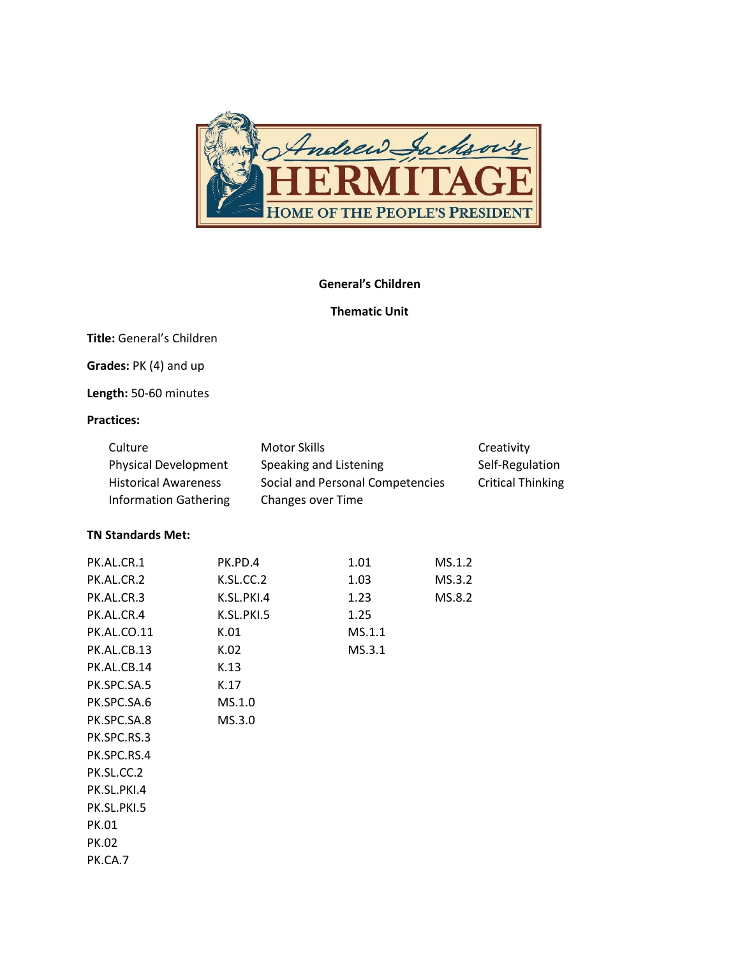

#### General's Children

### Thematic Unit

Title: General's Children

Grades: PK (4) and up

Length: 50-60 minutes

### Practices:

| Culture                      | Motor Skills                     | Creativity               |
|------------------------------|----------------------------------|--------------------------|
| <b>Physical Development</b>  | Speaking and Listening           | Self-Regulation          |
| <b>Historical Awareness</b>  | Social and Personal Competencies | <b>Critical Thinking</b> |
| <b>Information Gathering</b> | Changes over Time                |                          |

### TN Standards Met:

| PK.AL.CR.1         | PK.PD.4    | 1.01   | MS.1.2 |
|--------------------|------------|--------|--------|
| PK.AL.CR.2         | K.SL.CC.2  | 1.03   | MS.3.2 |
| PK.AL.CR.3         | K.SL.PKI.4 | 1.23   | MS.8.2 |
| PK.AL.CR.4         | K.SL.PKI.5 | 1.25   |        |
| <b>PK.AL.CO.11</b> | K.01       | MS.1.1 |        |
| PK.AL.CB.13        | K.02       | MS.3.1 |        |
| PK.AL.CB.14        | K.13       |        |        |
| PK.SPC.SA.5        | K.17       |        |        |
| PK.SPC.SA.6        | MS.1.0     |        |        |
| PK.SPC.SA.8        | MS.3.0     |        |        |
| PK.SPC.RS.3        |            |        |        |
| PK.SPC.RS.4        |            |        |        |
| PK.SL.CC.2         |            |        |        |
| PK.SL.PKI.4        |            |        |        |
| PK.SL.PKI.5        |            |        |        |
| PK.01              |            |        |        |
| PK.02              |            |        |        |
| PK.CA.7            |            |        |        |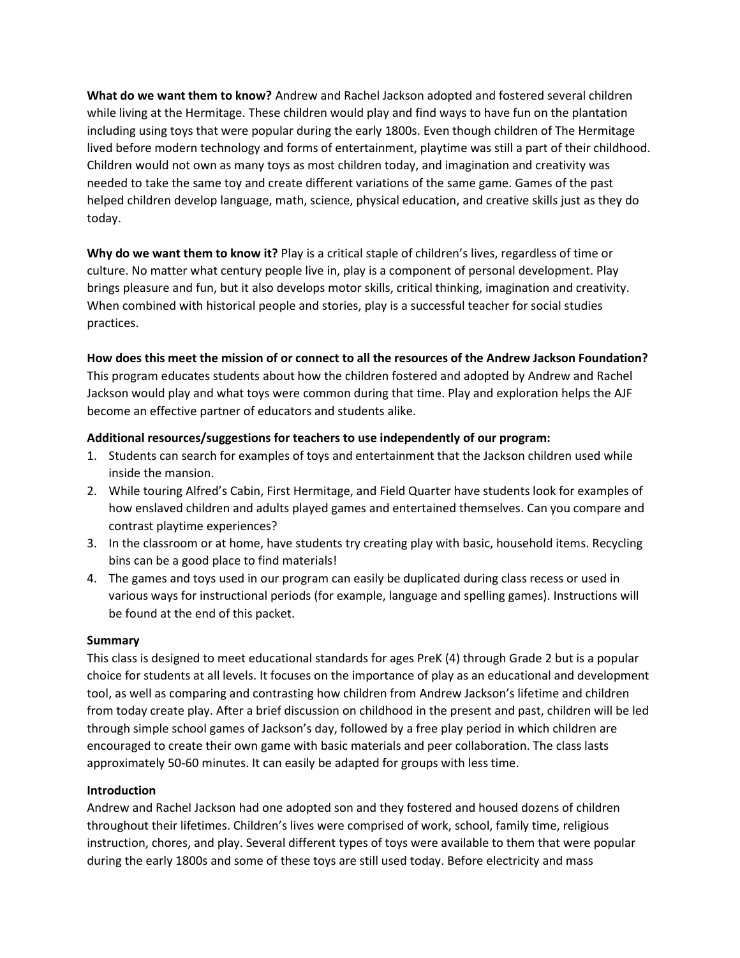What do we want them to know? Andrew and Rachel Jackson adopted and fostered several children while living at the Hermitage. These children would play and find ways to have fun on the plantation including using toys that were popular during the early 1800s. Even though children of The Hermitage lived before modern technology and forms of entertainment, playtime was still a part of their childhood. Children would not own as many toys as most children today, and imagination and creativity was needed to take the same toy and create different variations of the same game. Games of the past helped children develop language, math, science, physical education, and creative skills just as they do today.

Why do we want them to know it? Play is a critical staple of children's lives, regardless of time or culture. No matter what century people live in, play is a component of personal development. Play brings pleasure and fun, but it also develops motor skills, critical thinking, imagination and creativity. When combined with historical people and stories, play is a successful teacher for social studies practices.

How does this meet the mission of or connect to all the resources of the Andrew Jackson Foundation?

This program educates students about how the children fostered and adopted by Andrew and Rachel Jackson would play and what toys were common during that time. Play and exploration helps the AJF become an effective partner of educators and students alike.

### Additional resources/suggestions for teachers to use independently of our program:

- 1. Students can search for examples of toys and entertainment that the Jackson children used while inside the mansion.
- 2. While touring Alfred's Cabin, First Hermitage, and Field Quarter have students look for examples of how enslaved children and adults played games and entertained themselves. Can you compare and contrast playtime experiences?
- 3. In the classroom or at home, have students try creating play with basic, household items. Recycling bins can be a good place to find materials!
- 4. The games and toys used in our program can easily be duplicated during class recess or used in various ways for instructional periods (for example, language and spelling games). Instructions will be found at the end of this packet.

#### Summary

This class is designed to meet educational standards for ages PreK (4) through Grade 2 but is a popular choice for students at all levels. It focuses on the importance of play as an educational and development tool, as well as comparing and contrasting how children from Andrew Jackson's lifetime and children from today create play. After a brief discussion on childhood in the present and past, children will be led through simple school games of Jackson's day, followed by a free play period in which children are encouraged to create their own game with basic materials and peer collaboration. The class lasts approximately 50-60 minutes. It can easily be adapted for groups with less time.

#### Introduction

Andrew and Rachel Jackson had one adopted son and they fostered and housed dozens of children throughout their lifetimes. Children's lives were comprised of work, school, family time, religious instruction, chores, and play. Several different types of toys were available to them that were popular during the early 1800s and some of these toys are still used today. Before electricity and mass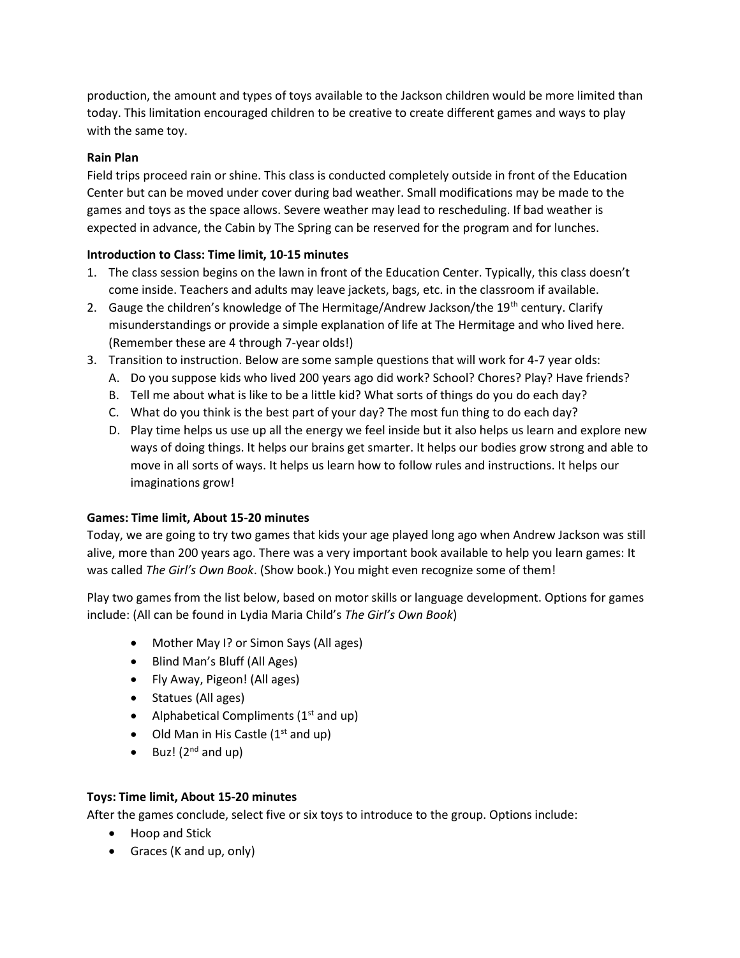production, the amount and types of toys available to the Jackson children would be more limited than today. This limitation encouraged children to be creative to create different games and ways to play with the same toy.

### Rain Plan

Field trips proceed rain or shine. This class is conducted completely outside in front of the Education Center but can be moved under cover during bad weather. Small modifications may be made to the games and toys as the space allows. Severe weather may lead to rescheduling. If bad weather is expected in advance, the Cabin by The Spring can be reserved for the program and for lunches.

### Introduction to Class: Time limit, 10-15 minutes

- 1. The class session begins on the lawn in front of the Education Center. Typically, this class doesn't come inside. Teachers and adults may leave jackets, bags, etc. in the classroom if available.
- 2. Gauge the children's knowledge of The Hermitage/Andrew Jackson/the 19<sup>th</sup> century. Clarify misunderstandings or provide a simple explanation of life at The Hermitage and who lived here. (Remember these are 4 through 7-year olds!)
- 3. Transition to instruction. Below are some sample questions that will work for 4-7 year olds:
	- A. Do you suppose kids who lived 200 years ago did work? School? Chores? Play? Have friends?
	- B. Tell me about what is like to be a little kid? What sorts of things do you do each day?
	- C. What do you think is the best part of your day? The most fun thing to do each day?
	- D. Play time helps us use up all the energy we feel inside but it also helps us learn and explore new ways of doing things. It helps our brains get smarter. It helps our bodies grow strong and able to move in all sorts of ways. It helps us learn how to follow rules and instructions. It helps our imaginations grow!

# Games: Time limit, About 15-20 minutes

Today, we are going to try two games that kids your age played long ago when Andrew Jackson was still alive, more than 200 years ago. There was a very important book available to help you learn games: It was called The Girl's Own Book. (Show book.) You might even recognize some of them!

Play two games from the list below, based on motor skills or language development. Options for games include: (All can be found in Lydia Maria Child's The Girl's Own Book)

- Mother May I? or Simon Says (All ages)
- Blind Man's Bluff (All Ages)
- Fly Away, Pigeon! (All ages)
- Statues (All ages)
- Alphabetical Compliments  $(1<sup>st</sup>$  and up)
- $\bullet$  Old Man in His Castle (1<sup>st</sup> and up)
- $\bullet$  Buz! (2<sup>nd</sup> and up)

# Toys: Time limit, About 15-20 minutes

After the games conclude, select five or six toys to introduce to the group. Options include:

- Hoop and Stick
- Graces (K and up, only)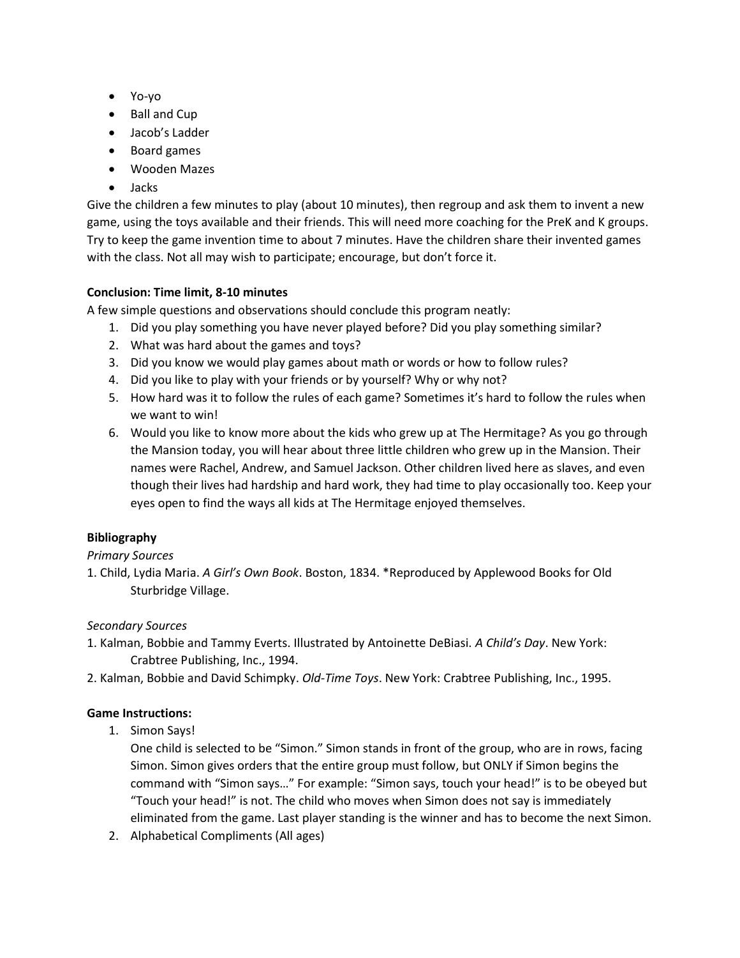- Yo-yo
- Ball and Cup
- Jacob's Ladder
- Board games
- Wooden Mazes
- Jacks

Give the children a few minutes to play (about 10 minutes), then regroup and ask them to invent a new game, using the toys available and their friends. This will need more coaching for the PreK and K groups. Try to keep the game invention time to about 7 minutes. Have the children share their invented games with the class. Not all may wish to participate; encourage, but don't force it.

# Conclusion: Time limit, 8-10 minutes

A few simple questions and observations should conclude this program neatly:

- 1. Did you play something you have never played before? Did you play something similar?
- 2. What was hard about the games and toys?
- 3. Did you know we would play games about math or words or how to follow rules?
- 4. Did you like to play with your friends or by yourself? Why or why not?
- 5. How hard was it to follow the rules of each game? Sometimes it's hard to follow the rules when we want to win!
- 6. Would you like to know more about the kids who grew up at The Hermitage? As you go through the Mansion today, you will hear about three little children who grew up in the Mansion. Their names were Rachel, Andrew, and Samuel Jackson. Other children lived here as slaves, and even though their lives had hardship and hard work, they had time to play occasionally too. Keep your eyes open to find the ways all kids at The Hermitage enjoyed themselves.

# Bibliography

#### Primary Sources

1. Child, Lydia Maria. A Girl's Own Book. Boston, 1834. \*Reproduced by Applewood Books for Old Sturbridge Village.

# Secondary Sources

- 1. Kalman, Bobbie and Tammy Everts. Illustrated by Antoinette DeBiasi. A Child's Day. New York: Crabtree Publishing, Inc., 1994.
- 2. Kalman, Bobbie and David Schimpky. Old-Time Toys. New York: Crabtree Publishing, Inc., 1995.

# Game Instructions:

1. Simon Says!

One child is selected to be "Simon." Simon stands in front of the group, who are in rows, facing Simon. Simon gives orders that the entire group must follow, but ONLY if Simon begins the command with "Simon says…" For example: "Simon says, touch your head!" is to be obeyed but "Touch your head!" is not. The child who moves when Simon does not say is immediately eliminated from the game. Last player standing is the winner and has to become the next Simon.

2. Alphabetical Compliments (All ages)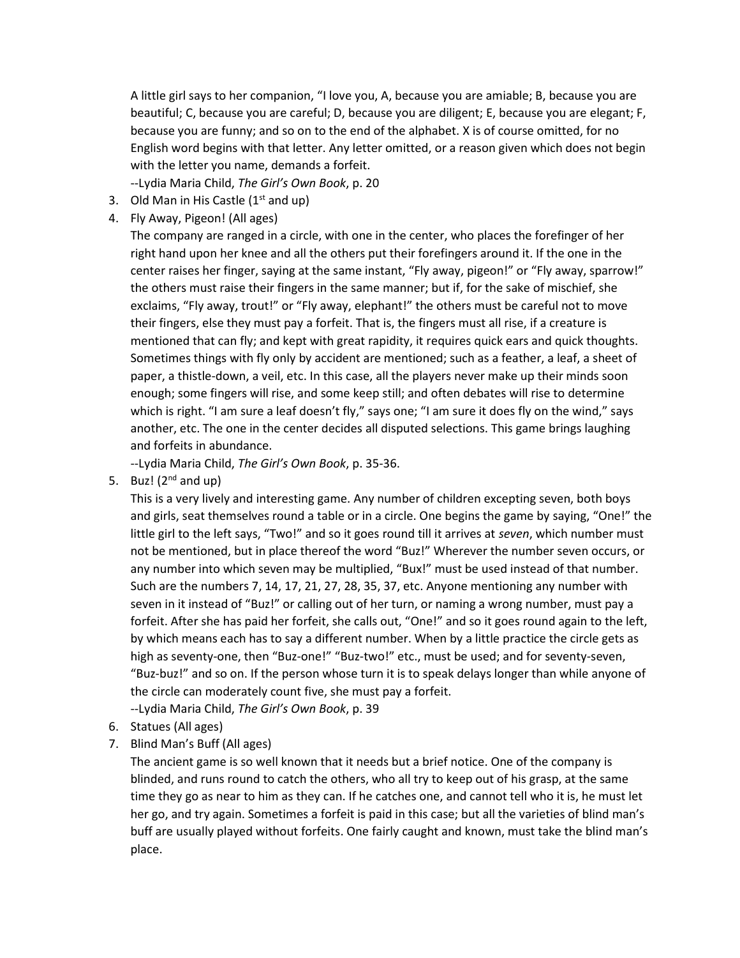A little girl says to her companion, "I love you, A, because you are amiable; B, because you are beautiful; C, because you are careful; D, because you are diligent; E, because you are elegant; F, because you are funny; and so on to the end of the alphabet. X is of course omitted, for no English word begins with that letter. Any letter omitted, or a reason given which does not begin with the letter you name, demands a forfeit.

--Lydia Maria Child, The Girl's Own Book, p. 20

- 3. Old Man in His Castle  $(1<sup>st</sup>$  and up)
- 4. Fly Away, Pigeon! (All ages)

The company are ranged in a circle, with one in the center, who places the forefinger of her right hand upon her knee and all the others put their forefingers around it. If the one in the center raises her finger, saying at the same instant, "Fly away, pigeon!" or "Fly away, sparrow!" the others must raise their fingers in the same manner; but if, for the sake of mischief, she exclaims, "Fly away, trout!" or "Fly away, elephant!" the others must be careful not to move their fingers, else they must pay a forfeit. That is, the fingers must all rise, if a creature is mentioned that can fly; and kept with great rapidity, it requires quick ears and quick thoughts. Sometimes things with fly only by accident are mentioned; such as a feather, a leaf, a sheet of paper, a thistle-down, a veil, etc. In this case, all the players never make up their minds soon enough; some fingers will rise, and some keep still; and often debates will rise to determine which is right. "I am sure a leaf doesn't fly," says one; "I am sure it does fly on the wind," says another, etc. The one in the center decides all disputed selections. This game brings laughing and forfeits in abundance.

--Lydia Maria Child, The Girl's Own Book, p. 35-36.

5. Buz!  $(2^{nd}$  and up)

This is a very lively and interesting game. Any number of children excepting seven, both boys and girls, seat themselves round a table or in a circle. One begins the game by saying, "One!" the little girl to the left says, "Two!" and so it goes round till it arrives at seven, which number must not be mentioned, but in place thereof the word "Buz!" Wherever the number seven occurs, or any number into which seven may be multiplied, "Bux!" must be used instead of that number. Such are the numbers 7, 14, 17, 21, 27, 28, 35, 37, etc. Anyone mentioning any number with seven in it instead of "Buz!" or calling out of her turn, or naming a wrong number, must pay a forfeit. After she has paid her forfeit, she calls out, "One!" and so it goes round again to the left, by which means each has to say a different number. When by a little practice the circle gets as high as seventy-one, then "Buz-one!" "Buz-two!" etc., must be used; and for seventy-seven, "Buz-buz!" and so on. If the person whose turn it is to speak delays longer than while anyone of the circle can moderately count five, she must pay a forfeit.

--Lydia Maria Child, The Girl's Own Book, p. 39

- 6. Statues (All ages)
- 7. Blind Man's Buff (All ages)

The ancient game is so well known that it needs but a brief notice. One of the company is blinded, and runs round to catch the others, who all try to keep out of his grasp, at the same time they go as near to him as they can. If he catches one, and cannot tell who it is, he must let her go, and try again. Sometimes a forfeit is paid in this case; but all the varieties of blind man's buff are usually played without forfeits. One fairly caught and known, must take the blind man's place.